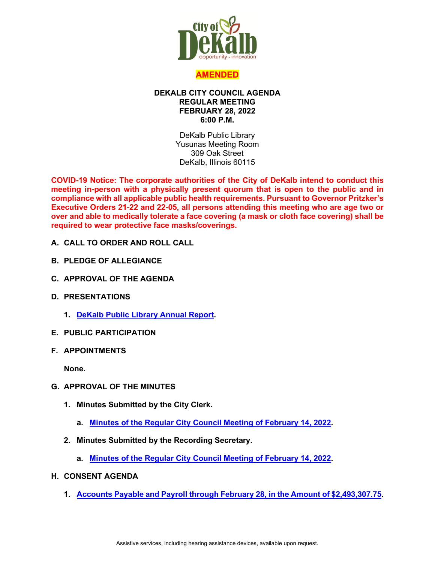

## **AMENDED**

#### **DEKALB CITY COUNCIL AGENDA REGULAR MEETING FEBRUARY 28, 2022 6:00 P.M.**

DeKalb Public Library Yusunas Meeting Room 309 Oak Street DeKalb, Illinois 60115

**COVID-19 Notice: The corporate authorities of the City of DeKalb intend to conduct this meeting in-person with a physically present quorum that is open to the public and in compliance with all applicable public health requirements. Pursuant to Governor Pritzker's Executive Orders 21-22 and 22-05, all persons attending this meeting who are age two or over and able to medically tolerate a face covering (a mask or cloth face covering) shall be required to wear protective face masks/coverings.**

- **A. CALL TO ORDER AND ROLL CALL**
- **B. PLEDGE OF ALLEGIANCE**
- **C. APPROVAL OF THE AGENDA**
- **D. PRESENTATIONS**
	- **1. [DeKalb Public Library Annual Report.](https://www.cityofdekalb.com/DocumentCenter/View/13628/2-DPL-FY21-Rpt)**
- **E. PUBLIC PARTICIPATION**
- **F. APPOINTMENTS**

**None.**

- **G. APPROVAL OF THE MINUTES**
	- **1. Minutes Submitted by the City Clerk.**
		- **a. [Minutes of the Regular City Council Meeting of February 14, 2022.](https://www.cityofdekalb.com/DocumentCenter/View/13646/2a-Feb-14-MINUTES-sc)**
	- **2. Minutes Submitted by the Recording Secretary.**
		- **a. [Minutes of the Regular City Council Meeting of February 14, 2022.](https://www.cityofdekalb.com/DocumentCenter/View/13629/3-021422-Regular-Minutes)**
- **H. CONSENT AGENDA**
	- **1. [Accounts Payable and Payroll through February 28, in the Amount of \\$2,493,307.75.](https://www.cityofdekalb.com/DocumentCenter/View/13630/4-APP-022822)**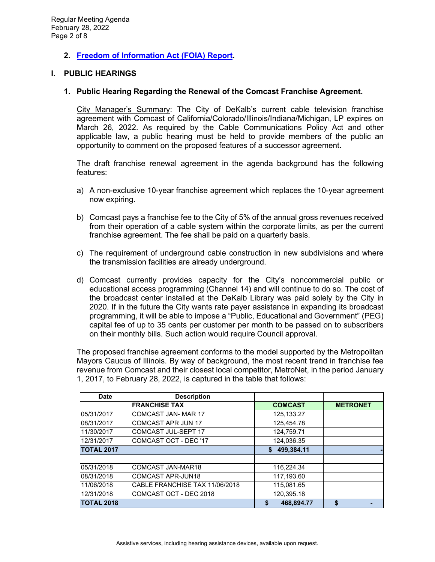# **2. [Freedom of Information Act \(FOIA\) Report.](https://www.cityofdekalb.com/DocumentCenter/View/13631/5-FOIA-Rpt---Jan-2022)**

### **I. PUBLIC HEARINGS**

#### **1. Public Hearing Regarding the Renewal of the Comcast Franchise Agreement.**

City Manager's Summary: The City of DeKalb's current cable television franchise agreement with Comcast of California/Colorado/Illinois/Indiana/Michigan, LP expires on March 26, 2022. As required by the Cable Communications Policy Act and other applicable law, a public hearing must be held to provide members of the public an opportunity to comment on the proposed features of a successor agreement.

The draft franchise renewal agreement in the agenda background has the following features:

- a) A non-exclusive 10-year franchise agreement which replaces the 10-year agreement now expiring.
- b) Comcast pays a franchise fee to the City of 5% of the annual gross revenues received from their operation of a cable system within the corporate limits, as per the current franchise agreement. The fee shall be paid on a quarterly basis.
- c) The requirement of underground cable construction in new subdivisions and where the transmission facilities are already underground.
- d) Comcast currently provides capacity for the City's noncommercial public or educational access programming (Channel 14) and will continue to do so. The cost of the broadcast center installed at the DeKalb Library was paid solely by the City in 2020. If in the future the City wants rate payer assistance in expanding its broadcast programming, it will be able to impose a "Public, Educational and Government" (PEG) capital fee of up to 35 cents per customer per month to be passed on to subscribers on their monthly bills. Such action would require Council approval.

The proposed franchise agreement conforms to the model supported by the Metropolitan Mayors Caucus of Illinois. By way of background, the most recent trend in franchise fee revenue from Comcast and their closest local competitor, MetroNet, in the period January 1, 2017, to February 28, 2022, is captured in the table that follows:

| <b>Date</b>       | <b>Description</b>             |                  |                 |
|-------------------|--------------------------------|------------------|-----------------|
|                   | <b>FRANCHISE TAX</b>           | <b>COMCAST</b>   | <b>METRONET</b> |
| 05/31/2017        | <b>COMCAST JAN-MAR 17</b>      | 125.133.27       |                 |
| 08/31/2017        | <b>COMCAST APR JUN 17</b>      | 125,454.78       |                 |
| 11/30/2017        | <b>COMCAST JUL-SEPT 17</b>     | 124,759.71       |                 |
| 12/31/2017        | COMCAST OCT - DEC '17          | 124.036.35       |                 |
| <b>TOTAL 2017</b> |                                | \$499,384.11     |                 |
|                   |                                |                  |                 |
| 05/31/2018        | COMCAST JAN-MAR18              | 116,224.34       |                 |
| 08/31/2018        | <b>COMCAST APR-JUN18</b>       | 117.193.60       |                 |
| 11/06/2018        | CABLE FRANCHISE TAX 11/06/2018 | 115.081.65       |                 |
| 12/31/2018        | COMCAST OCT - DEC 2018         | 120,395.18       |                 |
| <b>TOTAL 2018</b> |                                | 468,894.77<br>\$ | \$              |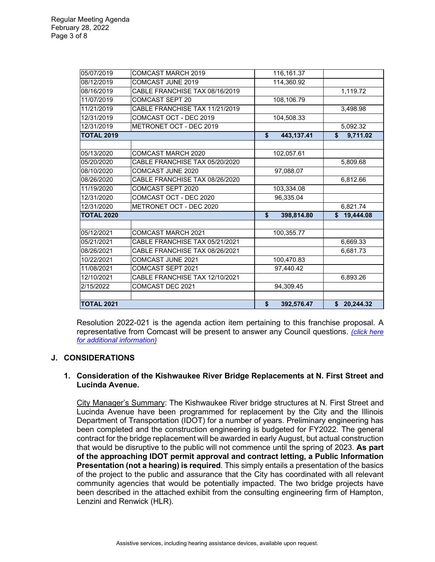| 05/07/2019<br><b>COMCAST MARCH 2019</b>      | 116,161.37       |                           |
|----------------------------------------------|------------------|---------------------------|
| 08/12/2019<br>COMCAST JUNE 2019              | 114,360.92       |                           |
| CABLE FRANCHISE TAX 08/16/2019<br>08/16/2019 |                  | 1,119.72                  |
| 11/07/2019<br><b>COMCAST SEPT 20</b>         | 108,106.79       |                           |
| 11/21/2019<br>CABLE FRANCHISE TAX 11/21/2019 |                  | 3.498.98                  |
| COMCAST OCT - DEC 2019<br>12/31/2019         | 104,508.33       |                           |
| METRONET OCT - DEC 2019<br>12/31/2019        |                  | 5,092.32                  |
| <b>TOTAL 2019</b>                            | 443,137.41<br>\$ | \$<br>9,711.02            |
|                                              |                  |                           |
| 05/13/2020<br>COMCAST MARCH 2020             | 102,057.61       |                           |
| CABLE FRANCHISE TAX 05/20/2020<br>05/20/2020 |                  | 5,809.68                  |
| COMCAST JUNE 2020<br>08/10/2020              | 97,088.07        |                           |
| 08/26/2020<br>CABLE FRANCHISE TAX 08/26/2020 |                  | 6,812.66                  |
| 11/19/2020<br>COMCAST SEPT 2020              | 103,334.08       |                           |
| COMCAST OCT - DEC 2020<br>12/31/2020         | 96,335.04        |                           |
| 12/31/2020<br>METRONET OCT - DEC 2020        |                  | 6,821.74                  |
| <b>TOTAL 2020</b>                            | \$<br>398,814.80 | $\mathbf{s}$<br>19,444.08 |
|                                              |                  |                           |
| 05/12/2021<br>COMCAST MARCH 2021             | 100,355.77       |                           |
| 05/21/2021<br>CABLE FRANCHISE TAX 05/21/2021 |                  | 6,669.33                  |
| CABLE FRANCHISE TAX 08/26/2021<br>08/26/2021 |                  | 6.681.73                  |
| 10/22/2021<br>COMCAST JUNE 2021              | 100,470.83       |                           |
| 11/08/2021<br>COMCAST SEPT 2021              | 97,440.42        |                           |
| 12/10/2021<br>CABLE FRANCHISE TAX 12/10/2021 |                  | 6,893.26                  |
| 2/15/2022<br>COMCAST DEC 2021                | 94,309.45        |                           |
|                                              |                  |                           |
| <b>TOTAL 2021</b>                            | \$<br>392,576.47 | \$20,244.32               |

Resolution 2022-021 is the agenda action item pertaining to this franchise proposal. A representative from Comcast will be present to answer any Council questions. *[\(click here](https://www.cityofdekalb.com/DocumentCenter/View/13632/6-PH-Notice---Comcast)  [for additional information\)](https://www.cityofdekalb.com/DocumentCenter/View/13632/6-PH-Notice---Comcast)*

## **J. CONSIDERATIONS**

### **1. Consideration of the Kishwaukee River Bridge Replacements at N. First Street and Lucinda Avenue.**

City Manager's Summary: The Kishwaukee River bridge structures at N. First Street and Lucinda Avenue have been programmed for replacement by the City and the Illinois Department of Transportation (IDOT) for a number of years. Preliminary engineering has been completed and the construction engineering is budgeted for FY2022. The general contract for the bridge replacement will be awarded in early August, but actual construction that would be disruptive to the public will not commence until the spring of 2023. **As part of the approaching IDOT permit approval and contract letting, a Public Information Presentation (not a hearing) is required**. This simply entails a presentation of the basics of the project to the public and assurance that the City has coordinated with all relevant community agencies that would be potentially impacted. The two bridge projects have been described in the attached exhibit from the consulting engineering firm of Hampton, Lenzini and Renwick (HLR).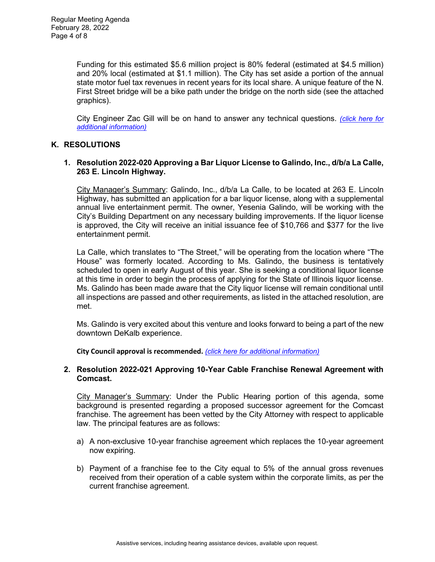Funding for this estimated \$5.6 million project is 80% federal (estimated at \$4.5 million) and 20% local (estimated at \$1.1 million). The City has set aside a portion of the annual state motor fuel tax revenues in recent years for its local share. A unique feature of the N. First Street bridge will be a bike path under the bridge on the north side (see the attached graphics).

City Engineer Zac Gill will be on hand to answer any technical questions. *[\(click here for](https://www.cityofdekalb.com/DocumentCenter/View/13633/7-Kish-Riv-Bridge-Replace)  [additional information\)](https://www.cityofdekalb.com/DocumentCenter/View/13633/7-Kish-Riv-Bridge-Replace)*

## **K. RESOLUTIONS**

#### **1. Resolution 2022-020 Approving a Bar Liquor License to Galindo, Inc., d/b/a La Calle, 263 E. Lincoln Highway.**

City Manager's Summary: Galindo, Inc., d/b/a La Calle, to be located at 263 E. Lincoln Highway, has submitted an application for a bar liquor license, along with a supplemental annual live entertainment permit. The owner, Yesenia Galindo, will be working with the City's Building Department on any necessary building improvements. If the liquor license is approved, the City will receive an initial issuance fee of \$10,766 and \$377 for the live entertainment permit.

La Calle, which translates to "The Street," will be operating from the location where "The House" was formerly located. According to Ms. Galindo, the business is tentatively scheduled to open in early August of this year. She is seeking a conditional liquor license at this time in order to begin the process of applying for the State of Illinois liquor license. Ms. Galindo has been made aware that the City liquor license will remain conditional until all inspections are passed and other requirements, as listed in the attached resolution, are met.

Ms. Galindo is very excited about this venture and looks forward to being a part of the new downtown DeKalb experience.

**City Council approval is recommended.** *[\(click here for additional information\)](https://www.cityofdekalb.com/DocumentCenter/View/13634/8-Res-2022-020)*

#### **2. Resolution 2022-021 Approving 10-Year Cable Franchise Renewal Agreement with Comcast.**

City Manager's Summary: Under the Public Hearing portion of this agenda, some background is presented regarding a proposed successor agreement for the Comcast franchise. The agreement has been vetted by the City Attorney with respect to applicable law. The principal features are as follows:

- a) A non-exclusive 10-year franchise agreement which replaces the 10-year agreement now expiring.
- b) Payment of a franchise fee to the City equal to 5% of the annual gross revenues received from their operation of a cable system within the corporate limits, as per the current franchise agreement.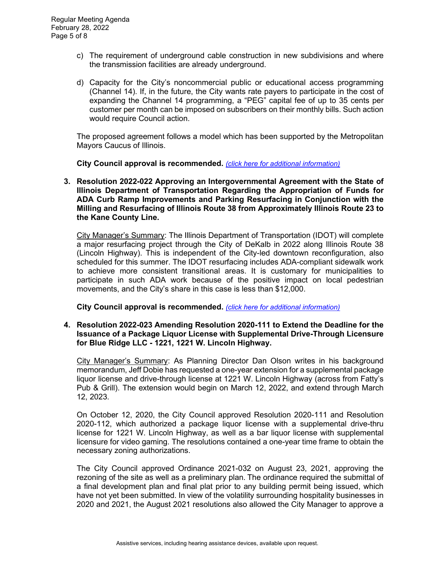- c) The requirement of underground cable construction in new subdivisions and where the transmission facilities are already underground.
- d) Capacity for the City's noncommercial public or educational access programming (Channel 14). If, in the future, the City wants rate payers to participate in the cost of expanding the Channel 14 programming, a "PEG" capital fee of up to 35 cents per customer per month can be imposed on subscribers on their monthly bills. Such action would require Council action.

The proposed agreement follows a model which has been supported by the Metropolitan Mayors Caucus of Illinois.

**City Council approval is recommended.** *[\(click here for additional information\)](https://www.cityofdekalb.com/DocumentCenter/View/13635/9-Res-2022-021)*

**3. Resolution 2022-022 Approving an Intergovernmental Agreement with the State of Illinois Department of Transportation Regarding the Appropriation of Funds for ADA Curb Ramp Improvements and Parking Resurfacing in Conjunction with the Milling and Resurfacing of Illinois Route 38 from Approximately Illinois Route 23 to the Kane County Line.**

City Manager's Summary: The Illinois Department of Transportation (IDOT) will complete a major resurfacing project through the City of DeKalb in 2022 along Illinois Route 38 (Lincoln Highway). This is independent of the City-led downtown reconfiguration, also scheduled for this summer. The IDOT resurfacing includes ADA-compliant sidewalk work to achieve more consistent transitional areas. It is customary for municipalities to participate in such ADA work because of the positive impact on local pedestrian movements, and the City's share in this case is less than \$12,000.

**City Council approval is recommended.** *[\(click here for additional information\)](https://www.cityofdekalb.com/DocumentCenter/View/13636/10-Res-2022-022)*

**4. Resolution 2022-023 Amending Resolution 2020-111 to Extend the Deadline for the Issuance of a Package Liquor License with Supplemental Drive-Through Licensure for Blue Ridge LLC - 1221, 1221 W. Lincoln Highway.** 

City Manager's Summary: As Planning Director Dan Olson writes in his background memorandum, Jeff Dobie has requested a one-year extension for a supplemental package liquor license and drive-through license at 1221 W. Lincoln Highway (across from Fatty's Pub & Grill). The extension would begin on March 12, 2022, and extend through March 12, 2023.

On October 12, 2020, the City Council approved Resolution 2020-111 and Resolution 2020-112, which authorized a package liquor license with a supplemental drive-thru license for 1221 W. Lincoln Highway, as well as a bar liquor license with supplemental licensure for video gaming. The resolutions contained a one-year time frame to obtain the necessary zoning authorizations.

The City Council approved Ordinance 2021-032 on August 23, 2021, approving the rezoning of the site as well as a preliminary plan. The ordinance required the submittal of a final development plan and final plat prior to any building permit being issued, which have not yet been submitted. In view of the volatility surrounding hospitality businesses in 2020 and 2021, the August 2021 resolutions also allowed the City Manager to approve a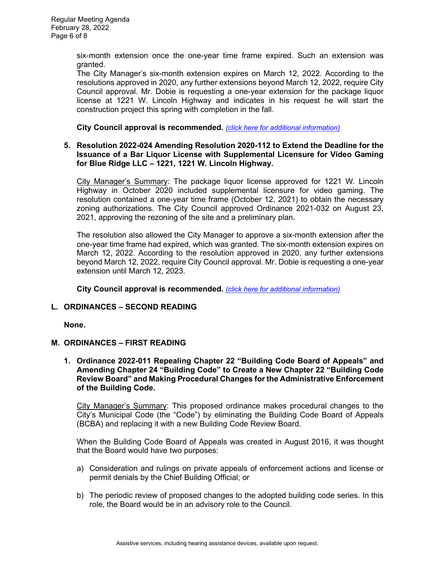six-month extension once the one-year time frame expired. Such an extension was granted.

The City Manager's six-month extension expires on March 12, 2022. According to the resolutions approved in 2020, any further extensions beyond March 12, 2022, require City Council approval. Mr. Dobie is requesting a one-year extension for the package liquor license at 1221 W. Lincoln Highway and indicates in his request he will start the construction project this spring with completion in the fall.

**City Council approval is recommended.** *[\(click here for additional information\)](https://www.cityofdekalb.com/DocumentCenter/View/13637/11-Res-2022-023)*

### **5. Resolution 2022-024 Amending Resolution 2020-112 to Extend the Deadline for the Issuance of a Bar Liquor License with Supplemental Licensure for Video Gaming for Blue Ridge LLC – 1221, 1221 W. Lincoln Highway.**

City Manager's Summary: The package liquor license approved for 1221 W. Lincoln Highway in October 2020 included supplemental licensure for video gaming. The resolution contained a one-year time frame (October 12, 2021) to obtain the necessary zoning authorizations. The City Council approved Ordinance 2021-032 on August 23, 2021, approving the rezoning of the site and a preliminary plan.

The resolution also allowed the City Manager to approve a six-month extension after the one-year time frame had expired, which was granted. The six-month extension expires on March 12, 2022. According to the resolution approved in 2020, any further extensions beyond March 12, 2022, require City Council approval. Mr. Dobie is requesting a one-year extension until March 12, 2023.

**City Council approval is recommended.** *[\(click here for additional information\)](https://www.cityofdekalb.com/DocumentCenter/View/13638/12-Res-2022-024)*

## **L. ORDINANCES – SECOND READING**

**None.** 

## **M. ORDINANCES – FIRST READING**

**1. Ordinance 2022-011 Repealing Chapter 22 "Building Code Board of Appeals" and Amending Chapter 24 "Building Code" to Create a New Chapter 22 "Building Code Review Board" and Making Procedural Changes for the Administrative Enforcement of the Building Code.**

City Manager's Summary: This proposed ordinance makes procedural changes to the City's Municipal Code (the "Code") by eliminating the Building Code Board of Appeals (BCBA) and replacing it with a new Building Code Review Board.

When the Building Code Board of Appeals was created in August 2016, it was thought that the Board would have two purposes:

- a) Consideration and rulings on private appeals of enforcement actions and license or permit denials by the Chief Building Official; or
- b) The periodic review of proposed changes to the adopted building code series. In this role, the Board would be in an advisory role to the Council.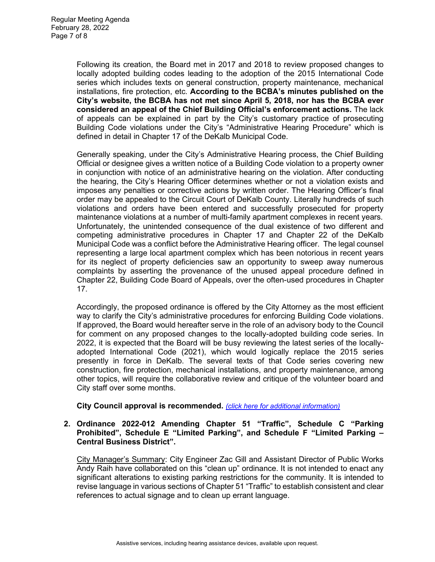Following its creation, the Board met in 2017 and 2018 to review proposed changes to locally adopted building codes leading to the adoption of the 2015 International Code series which includes texts on general construction, property maintenance, mechanical installations, fire protection, etc. **According to the BCBA's minutes published on the City's website, the BCBA has not met since April 5, 2018, nor has the BCBA ever considered an appeal of the Chief Building Official's enforcement actions.** The lack of appeals can be explained in part by the City's customary practice of prosecuting Building Code violations under the City's "Administrative Hearing Procedure" which is defined in detail in Chapter 17 of the DeKalb Municipal Code.

Generally speaking, under the City's Administrative Hearing process, the Chief Building Official or designee gives a written notice of a Building Code violation to a property owner in conjunction with notice of an administrative hearing on the violation. After conducting the hearing, the City's Hearing Officer determines whether or not a violation exists and imposes any penalties or corrective actions by written order. The Hearing Officer's final order may be appealed to the Circuit Court of DeKalb County. Literally hundreds of such violations and orders have been entered and successfully prosecuted for property maintenance violations at a number of multi-family apartment complexes in recent years. Unfortunately, the unintended consequence of the dual existence of two different and competing administrative procedures in Chapter 17 and Chapter 22 of the DeKalb Municipal Code was a conflict before the Administrative Hearing officer. The legal counsel representing a large local apartment complex which has been notorious in recent years for its neglect of property deficiencies saw an opportunity to sweep away numerous complaints by asserting the provenance of the unused appeal procedure defined in Chapter 22, Building Code Board of Appeals, over the often-used procedures in Chapter 17.

Accordingly, the proposed ordinance is offered by the City Attorney as the most efficient way to clarify the City's administrative procedures for enforcing Building Code violations. If approved, the Board would hereafter serve in the role of an advisory body to the Council for comment on any proposed changes to the locally-adopted building code series. In 2022, it is expected that the Board will be busy reviewing the latest series of the locallyadopted International Code (2021), which would logically replace the 2015 series presently in force in DeKalb. The several texts of that Code series covering new construction, fire protection, mechanical installations, and property maintenance, among other topics, will require the collaborative review and critique of the volunteer board and City staff over some months.

### **City Council approval is recommended.** *[\(click here for additional information\)](https://www.cityofdekalb.com/DocumentCenter/View/13639/13-Ord-2022-011)*

#### **2. Ordinance 2022-012 Amending Chapter 51 "Traffic", Schedule C "Parking Prohibited", Schedule E "Limited Parking", and Schedule F "Limited Parking – Central Business District".**

City Manager's Summary: City Engineer Zac Gill and Assistant Director of Public Works Andy Raih have collaborated on this "clean up" ordinance. It is not intended to enact any significant alterations to existing parking restrictions for the community. It is intended to revise language in various sections of Chapter 51 "Traffic" to establish consistent and clear references to actual signage and to clean up errant language.